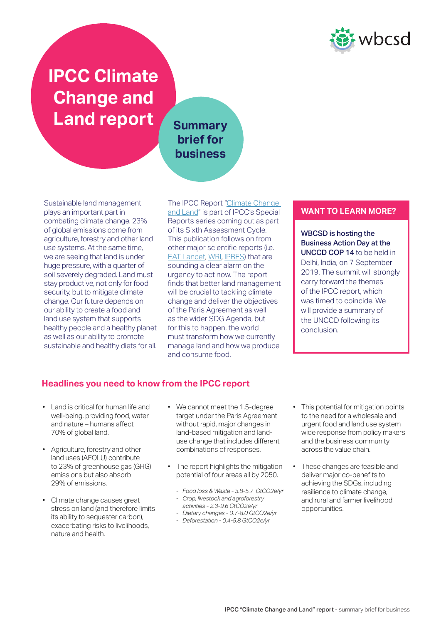

# **IPCC Climate Change and**  Land report Summary

# **brief for business**

Sustainable land management plays an important part in combating climate change. 23% of global emissions come from agriculture, forestry and other land use systems. At the same time, we are seeing that land is under huge pressure, with a quarter of soil severely degraded. Land must stay productive, not only for food security, but to mitigate climate change. Our future depends on our ability to create a food and land use system that supports healthy people and a healthy planet as well as our ability to promote sustainable and healthy diets for all. The IPCC Report ["Climate Change](https://www.ipcc.ch/report/srccl/)  [and Land"](https://www.ipcc.ch/report/srccl/) is part of IPCC's Special Reports series coming out as part of its Sixth Assessment Cycle. This publication follows on from other major scientific reports (i.e. [EAT Lancet](https://www.thelancet.com/commissions/EAT), [WRI,](https://wrr-food.wri.org/) [IPBES\)](https://www.ipbes.net/global-assessment-report-biodiversity-ecosystem-services) that are sounding a clear alarm on the urgency to act now. The report finds that better land management will be crucial to tackling climate change and deliver the objectives of the Paris Agreement as well as the wider SDG Agenda, but for this to happen, the world must transform how we currently manage land and how we produce and consume food.

## **WANT TO LEARN MORE?**

WBCSD is hosting the Business Action Day at the UNCCD COP 14 to be held in Delhi, India, on 7 September 2019. The summit will strongly carry forward the themes of the IPCC report, which was timed to coincide. We will provide a summary of the UNCCD following its conclusion.

# **Headlines you need to know from the IPCC report**

- Land is critical for human life and well-being, providing food, water and nature – humans affect 70% of global land.
- Agriculture, forestry and other land uses (AFOLU) contribute to 23% of greenhouse gas (GHG) emissions but also absorb 29% of emissions.
- Climate change causes great stress on land (and therefore limits its ability to sequester carbon), exacerbating risks to livelihoods, nature and health.
- We cannot meet the 1.5-degree target under the Paris Agreement without rapid, major changes in land-based mitigation and landuse change that includes different combinations of responses.
- The report highlights the mitigation potential of four areas all by 2050.
	- *Food loss & Waste 3.8-5.7 GtCO2e/yr*
	- *Crop, livestock and agroforestry*
	- *activities 2.3-9.6 GtCO2e/yr*
	- *Dietary changes 0.7-8.0 GtCO2e/yr*
	- *Deforestation 0.4-5.8 GtCO2e/yr*
- This potential for mitigation points to the need for a wholesale and urgent food and land use system wide response from policy makers and the business community across the value chain.
- These changes are feasible and deliver major co-benefits to achieving the SDGs, including resilience to climate change, and rural and farmer livelihood opportunities.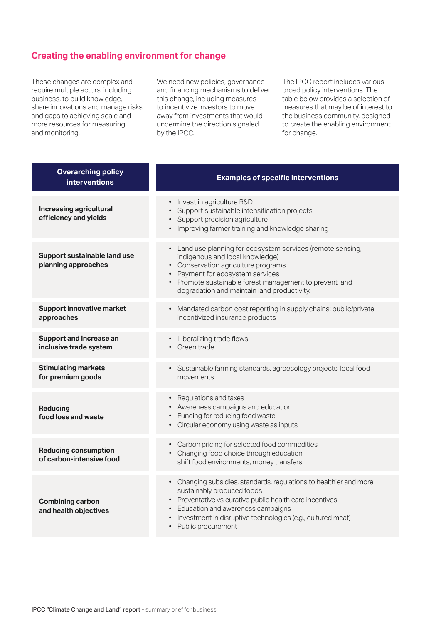## **Creating the enabling environment for change**

These changes are complex and require multiple actors, including business, to build knowledge, share innovations and manage risks and gaps to achieving scale and more resources for measuring and monitoring.

We need new policies, governance and financing mechanisms to deliver this change, including measures to incentivize investors to move away from investments that would undermine the direction signaled by the IPCC.

The IPCC report includes various broad policy interventions. The table below provides a selection of measures that may be of interest to the business community, designed to create the enabling environment for change.

| <b>Overarching policy</b><br><b>interventions</b>       | <b>Examples of specific interventions</b>                                                                                                                                                                                                                                              |
|---------------------------------------------------------|----------------------------------------------------------------------------------------------------------------------------------------------------------------------------------------------------------------------------------------------------------------------------------------|
| <b>Increasing agricultural</b><br>efficiency and yields | • Invest in agriculture R&D<br>Support sustainable intensification projects<br>• Support precision agriculture<br>Improving farmer training and knowledge sharing                                                                                                                      |
| Support sustainable land use<br>planning approaches     | • Land use planning for ecosystem services (remote sensing,<br>indigenous and local knowledge)<br>• Conservation agriculture programs<br>• Payment for ecosystem services<br>• Promote sustainable forest management to prevent land<br>degradation and maintain land productivity.    |
| <b>Support innovative market</b><br>approaches          | Mandated carbon cost reporting in supply chains; public/private<br>$\bullet$<br>incentivized insurance products                                                                                                                                                                        |
| Support and increase an<br>inclusive trade system       | • Liberalizing trade flows<br>• Green trade                                                                                                                                                                                                                                            |
| <b>Stimulating markets</b><br>for premium goods         | · Sustainable farming standards, agroecology projects, local food<br>movements                                                                                                                                                                                                         |
| <b>Reducing</b><br>food loss and waste                  | • Regulations and taxes<br>• Awareness campaigns and education<br>• Funding for reducing food waste<br>• Circular economy using waste as inputs                                                                                                                                        |
| <b>Reducing consumption</b><br>of carbon-intensive food | • Carbon pricing for selected food commodities<br>• Changing food choice through education,<br>shift food environments, money transfers                                                                                                                                                |
| <b>Combining carbon</b><br>and health objectives        | • Changing subsidies, standards, regulations to healthier and more<br>sustainably produced foods<br>• Preventative vs curative public health care incentives<br>Education and awareness campaigns<br>Investment in disruptive technologies (e.g., cultured meat)<br>Public procurement |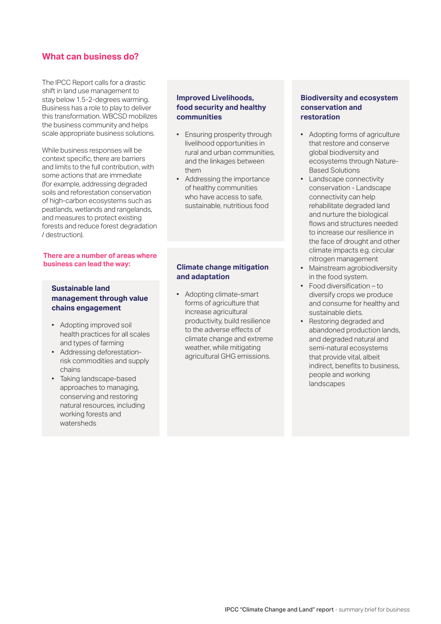## **What can business do?**

The IPCC Report calls for a drastic shift in land use management to stay below 1.5-2-degrees warming. Business has a role to play to deliver this transformation. WBCSD mobilizes the business community and helps scale appropriate business solutions.

While business responses will be context specific, there are barriers and limits to the full contribution, with some actions that are immediate (for example, addressing degraded soils and reforestation conservation of high-carbon ecosystems such as peatlands, wetlands and rangelands, and measures to protect existing forests and reduce forest degradation / destruction).

#### **There are a number of areas where business can lead the way:**

### **Sustainable land management through value chains engagement**

- Adopting improved soil health practices for all scales and types of farming
- Addressing deforestationrisk commodities and supply chains
- Taking landscape-based approaches to managing, conserving and restoring natural resources, including working forests and watersheds

### **Improved Livelihoods, food security and healthy communities**

- Ensuring prosperity through livelihood opportunities in rural and urban communities, and the linkages between them
- Addressing the importance of healthy communities who have access to safe, sustainable, nutritious food

## **Climate change mitigation and adaptation**

• Adopting climate-smart forms of agriculture that increase agricultural productivity, build resilience to the adverse effects of climate change and extreme weather, while mitigating agricultural GHG emissions.

#### **Biodiversity and ecosystem conservation and restoration**

- Adopting forms of agriculture that restore and conserve global biodiversity and ecosystems through Nature-Based Solutions
- Landscape connectivity conservation - Landscape connectivity can help rehabilitate degraded land and nurture the biological flows and structures needed to increase our resilience in the face of drought and other climate impacts e.g. circular nitrogen management
- Mainstream agrobiodiversity in the food system.
- Food diversification to diversify crops we produce and consume for healthy and sustainable diets.
- Restoring degraded and abandoned production lands, and degraded natural and semi-natural ecosystems that provide vital, albeit indirect, benefits to business, people and working landscapes